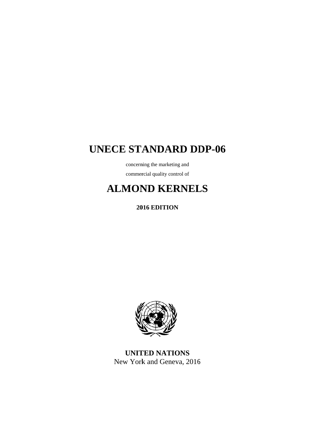# **UNECE STANDARD DDP-06**

concerning the marketing and commercial quality control of

# **ALMOND KERNELS**

**2016 EDITION** 



**UNITED NATIONS** New York and Geneva, 2016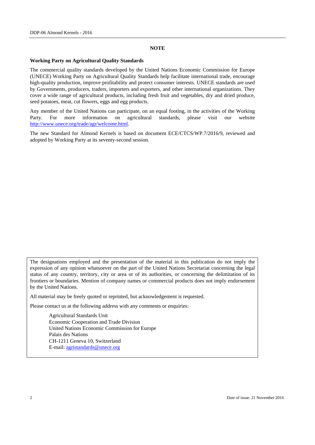#### **NOTE**

#### **Working Party on Agricultural Quality Standards**

The commercial quality standards developed by the United Nations Economic Commission for Europe (UNECE) Working Party on Agricultural Quality Standards help facilitate international trade, encourage high-quality production, improve profitability and protect consumer interests. UNECE standards are used by Governments, producers, traders, importers and exporters, and other international organizations. They cover a wide range of agricultural products, including fresh fruit and vegetables, dry and dried produce, seed potatoes, meat, cut flowers, eggs and egg products.

Any member of the United Nations can participate, on an equal footing, in the activities of the Working Party. For more information on agricultural standards, please visit our website http://www.unece.org/trade/agr/welcome.html.

The new Standard for Almond Kernels is based on document ECE/CTCS/WP.7/2016/9, reviewed and adopted by Working Party at its seventy-second session.

The designations employed and the presentation of the material in this publication do not imply the expression of any opinion whatsoever on the part of the United Nations Secretariat concerning the legal status of any country, territory, city or area or of its authorities, or concerning the delimitation of its frontiers or boundaries. Mention of company names or commercial products does not imply endorsement by the United Nations.

All material may be freely quoted or reprinted, but acknowledgement is requested.

Please contact us at the following address with any comments or enquiries:

 Agricultural Standards Unit Economic Cooperation and Trade Division United Nations Economic Commission for Europe Palais des Nations CH-1211 Geneva 10, Switzerland E-mail: agristandards@unece.org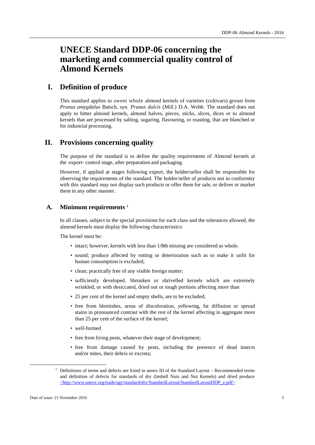# **UNECE Standard DDP-06 concerning the marketing and commercial quality control of Almond Kernels**

# **I. Definition of produce**

This standard applies to sweet whole almond kernels of varieties (cultivars) grown from *Prunus amygdalus* Batsch, syn. *Prunus dulcis* (Mill.) D.A. Webb. The standard does not apply to bitter almond kernels, almond halves, pieces, sticks, slices, dices or to almond kernels that are processed by salting, sugaring, flavouring, or roasting, that are blanched or for industrial processing.

# **II. Provisions concerning quality**

The purpose of the standard is to define the quality requirements of Almond kernels at the export- control stage, after preparation and packaging.

However, if applied at stages following export, the holder/seller shall be responsible for observing the requirements of the standard. The holder/seller of products not in conformity with this standard may not display such products or offer them for sale, or deliver or market them in any other manner.

### **A. Minimum requirements 1**

In all classes, subject to the special provisions for each class and the tolerances allowed, the almond kernels must display the following characteristics:

The kernel must be:

- intact; however, kernels with less than 1/8th missing are considered as whole.
- sound; produce affected by rotting or deterioration such as to make it unfit for human consumption is excluded;
- clean; practically free of any visible foreign matter;
- sufficiently developed. Shrunken or shrivelled kernels which are extremely wrinkled, or with desiccated, dried out or tough portions affecting more than
- 25 per cent of the kernel and empty shells, are to be excluded;
- free from blemishes, areas of discoloration, yellowing, fat diffusion or spread stains in pronounced contrast with the rest of the kernel affecting in aggregate more than 25 per cent of the surface of the kernel;
- well-formed
- free from living pests, whatever their stage of development;
- free from damage caused by pests, including the presence of dead insects and/or mites, their debris or excreta;

<sup>&</sup>lt;u>1</u>  $1$  Definitions of terms and defects are listed in annex III of the Standard Layout – Recommended terms and definition of defects for standards of dry (Inshell Nuts and Nut Kernels) and dried produce <http://www.unece.org/trade/agr/standard/dry/StandardLayout/StandardLayoutDDP\_e.pdf>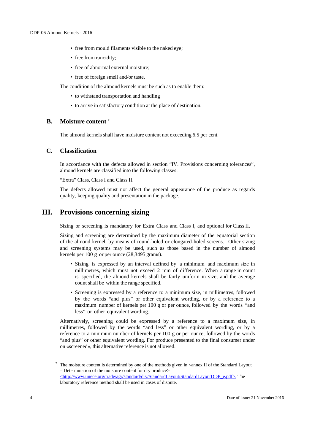- free from mould filaments visible to the naked eye;
- free from rancidity;
- free of abnormal external moisture;
- free of foreign smell and/or taste.

The condition of the almond kernels must be such as to enable them:

- to withstand transportation and handling
- to arrive in satisfactory condition at the place of destination.

## **B. Moisture content 2**

The almond kernels shall have moisture content not exceeding 6.5 per cent.

### **C. Classification**

In accordance with the defects allowed in section "IV. Provisions concerning tolerances", almond kernels are classified into the following classes:

"Extra" Class, Class I and Class II.

The defects allowed must not affect the general appearance of the produce as regards quality, keeping quality and presentation in the package.

# **III. Provisions concerning sizing**

Sizing or screening is mandatory for Extra Class and Class I, and optional for Class II.

Sizing and screening are determined by the maximum diameter of the equatorial section of the almond kernel, by means of round-holed or elongated-holed screens. Other sizing and screening systems may be used, such as those based in the number of almond kernels per 100 g or per ounce (28,3495 grams).

- Sizing is expressed by an interval defined by a minimum and maximum size in millimetres, which must not exceed 2 mm of difference. When a range in count is specified, the almond kernels shall be fairly uniform in size, and the average count shall be within the range specified.
- Screening is expressed by a reference to a minimum size, in millimetres, followed by the words "and plus" or other equivalent wording, or by a reference to a maximum number of kernels per 100 g or per ounce, followed by the words "and less" or other equivalent wording.

Alternatively, screening could be expressed by a reference to a maximum size, in millimetres, followed by the words "and less" or other equivalent wording, or by a reference to a minimum number of kernels per 100 g or per ounce, followed by the words "and plus" or other equivalent wording. For produce presented to the final consumer under on «screened», this alternative reference is not allowed.

 <sup>2</sup> <sup>2</sup> The moisture content is determined by one of the methods given in  $\alpha$  annex II of the Standard Layout – Determination of the moisture content for dry produce> <http://www.unece.org/trade/agr/standard/dry/StandardLayout/StandardLayoutDDP\_e.pdf>. The laboratory reference method shall be used in cases of dispute.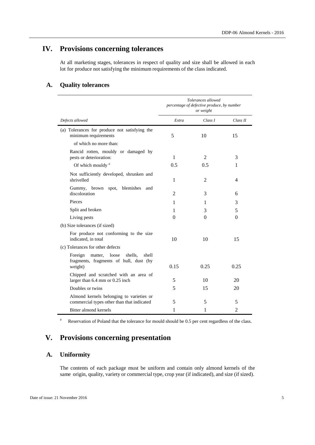# **IV. Provisions concerning tolerances**

At all marketing stages, tolerances in respect of quality and size shall be allowed in each lot for produce not satisfying the minimum requirements of the class indicated.

# **A. Quality tolerances**

|                                                                                                      | Tolerances allowed<br>percentage of defective produce, by number<br>or weight |                |          |
|------------------------------------------------------------------------------------------------------|-------------------------------------------------------------------------------|----------------|----------|
| Defects allowed                                                                                      | Extra                                                                         | Class I        | Class II |
| (a) Tolerances for produce not satisfying the<br>minimum requirements                                | 5                                                                             | 10             | 15       |
| of which no more than:                                                                               |                                                                               |                |          |
| Rancid rotten, mouldy or damaged by<br>pests or deterioration:                                       | 1                                                                             | $\overline{2}$ | 3        |
| Of which mouldy <sup>a</sup>                                                                         | 0.5                                                                           | 0.5            | 1        |
| Not sufficiently developed, shrunken and<br>shrivelled                                               | 1                                                                             | 2              | 4        |
| Gummy, brown spot,<br>blemishes<br>and<br>discoloration                                              | $\overline{2}$                                                                | 3              | 6        |
| Pieces                                                                                               | 1                                                                             | 1              | 3        |
| Split and broken                                                                                     | 1                                                                             | 3              | 5        |
| Living pests                                                                                         | 0                                                                             | 0              | $\Omega$ |
| (b) Size tolerances (if sized)                                                                       |                                                                               |                |          |
| For produce not conforming to the size<br>indicated, in total                                        | 10                                                                            | 10             | 15       |
| (c) Tolerances for other defects                                                                     |                                                                               |                |          |
| Foreign<br>matter,<br>loose<br>shells,<br>shell<br>fragments, fragments of hull, dust (by<br>weight) | 0.15                                                                          | 0.25           | 0.25     |
| Chipped and scratched with an area of<br>larger than 6.4 mm or 0.25 inch                             | 5                                                                             | 10             | 20       |
| Doubles or twins                                                                                     | 5                                                                             | 15             | 20       |
| Almond kernels belonging to varieties or<br>commercial types other than that indicated               | 5                                                                             | 5              | 5        |
| Bitter almond kernels                                                                                | 1                                                                             | 1              | 2        |

a Reservation of Poland that the tolerance for mould should be 0.5 per cent regardless of the class.

# **V. Provisions concerning presentation**

## **A. Uniformity**

The contents of each package must be uniform and contain only almond kernels of the same origin, quality, variety or commercial type, crop year (if indicated), and size (if sized).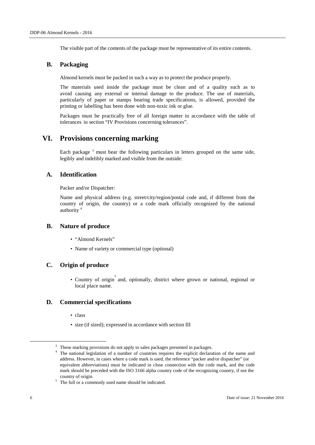The visible part of the contents of the package must be representative of its entire contents.

### **B. Packaging**

Almond kernels must be packed in such a way as to protect the produce properly.

The materials used inside the package must be clean and of a quality such as to avoid causing any external or internal damage to the produce. The use of materials, particularly of paper or stamps bearing trade specifications, is allowed, provided the printing or labelling has been done with non-toxic ink or glue.

Packages must be practically free of all foreign matter in accordance with the table of tolerances in section "IV Provisions concerning tolerances".

# **VI. Provisions concerning marking**

Each package<sup>3</sup> must bear the following particulars in letters grouped on the same side, legibly and indelibly marked and visible from the outside:

## **A. Identification**

Packer and/or Dispatcher:

Name and physical address (e.g. street/city/region/postal code and, if different from the country of origin, the country) or a code mark officially recognized by the national authority<sup>4</sup>

### **B. Nature of produce**

- "Almond Kernels"
- Name of variety or commercial type (optional)

## **C. Origin of produce**

• Country of origin and, optionally, district where grown or national, regional or local place name.

## **D. Commercial specifications**

- class
- size (if sized); expressed in accordance with section III

 <sup>3</sup> <sup>3</sup> These marking provisions do not apply to sales packages presented in packages.

<sup>&</sup>lt;sup>4</sup> The national legislation of a number of countries requires the explicit declaration of the name and address. However, in cases where a code mark is used, the reference "packer and/or dispatcher" (or equivalent abbreviations) must be indicated in close connection with the code mark, and the code mark should be preceded with the ISO 3166 alpha country code of the recognizing country, if not the  $\frac{5}{10}$  The full or a commonly used name should be indicated.